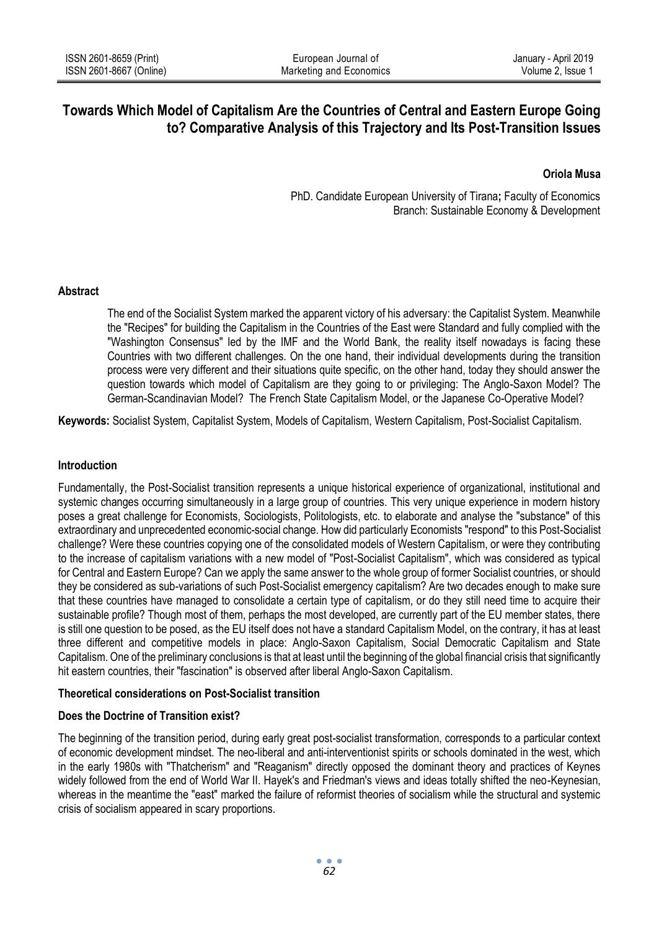# **Towards Which Model of Capitalism Are the Countries of Central and Eastern Europe Going to? Comparative Analysis of this Trajectory and Its Post-Transition Issues**

# **Oriola Musa**

PhD. Candidate European University of Tirana**;** Faculty of Economics Branch: Sustainable Economy & Development

## **Abstract**

The end of the Socialist System marked the apparent victory of his adversary: the Capitalist System. Meanwhile the "Recipes" for building the Capitalism in the Countries of the East were Standard and fully complied with the "Washington Consensus" led by the IMF and the World Bank, the reality itself nowadays is facing these Countries with two different challenges. On the one hand, their individual developments during the transition process were very different and their situations quite specific, on the other hand, today they should answer the question towards which model of Capitalism are they going to or privileging: The Anglo-Saxon Model? The German-Scandinavian Model? The French State Capitalism Model, or the Japanese Co-Operative Model?

**Keywords:** Socialist System, Capitalist System, Models of Capitalism, Western Capitalism, Post-Socialist Capitalism.

#### **Introduction**

Fundamentally, the Post-Socialist transition represents a unique historical experience of organizational, institutional and systemic changes occurring simultaneously in a large group of countries. This very unique experience in modern history poses a great challenge for Economists, Sociologists, Politologists, etc. to elaborate and analyse the "substance" of this extraordinary and unprecedented economic-social change. How did particularly Economists "respond" to this Post-Socialist challenge? Were these countries copying one of the consolidated models of Western Capitalism, or were they contributing to the increase of capitalism variations with a new model of "Post-Socialist Capitalism", which was considered as typical for Central and Eastern Europe? Can we apply the same answer to the whole group of former Socialist countries, or should they be considered as sub-variations of such Post-Socialist emergency capitalism? Are two decades enough to make sure that these countries have managed to consolidate a certain type of capitalism, or do they still need time to acquire their sustainable profile? Though most of them, perhaps the most developed, are currently part of the EU member states, there is still one question to be posed, as the EU itself does not have a standard Capitalism Model, on the contrary, it has at least three different and competitive models in place: Anglo-Saxon Capitalism, Social Democratic Capitalism and State Capitalism. One of the preliminary conclusions is that at least until the beginning of the global financial crisis that significantly hit eastern countries, their "fascination" is observed after liberal Anglo-Saxon Capitalism.

#### **Theoretical considerations on Post-Socialist transition**

# **Does the Doctrine of Transition exist?**

The beginning of the transition period, during early great post-socialist transformation, corresponds to a particular context of economic development mindset. The neo-liberal and anti-interventionist spirits or schools dominated in the west, which in the early 1980s with "Thatcherism" and "Reaganism" directly opposed the dominant theory and practices of Keynes widely followed from the end of World War II. Hayek's and Friedman's views and ideas totally shifted the neo-Keynesian, whereas in the meantime the "east" marked the failure of reformist theories of socialism while the structural and systemic crisis of socialism appeared in scary proportions.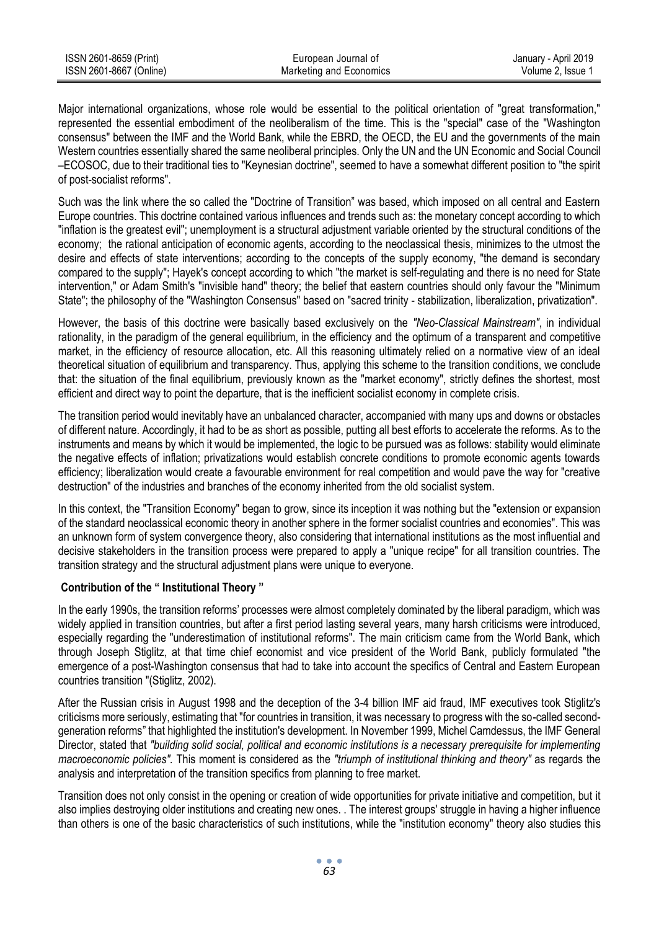| ISSN 2601-8659 (Print)  | European Journal of     | January - April 2019 |
|-------------------------|-------------------------|----------------------|
| ISSN 2601-8667 (Online) | Marketing and Economics | Volume 2. Issue 1    |

Major international organizations, whose role would be essential to the political orientation of "great transformation," represented the essential embodiment of the neoliberalism of the time. This is the "special" case of the "Washington consensus" between the IMF and the World Bank, while the EBRD, the OECD, the EU and the governments of the main Western countries essentially shared the same neoliberal principles. Only the UN and th[e UN Economic and Social Council](http://en.wikipedia.org/wiki/UN_Economic_and_Social_Council) –ECOSOC, due to their traditional ties to "Keynesian doctrine", seemed to have a somewhat different position to "the spirit of post-socialist reforms".

Such was the link where the so called the "Doctrine of Transition" was based, which imposed on all central and Eastern Europe countries. This doctrine contained various influences and trends such as: the monetary concept according to which "inflation is the greatest evil"; unemployment is a structural adjustment variable oriented by the structural conditions of the economy; the rational anticipation of economic agents, according to the neoclassical thesis, minimizes to the utmost the desire and effects of state interventions; according to the concepts of the supply economy, "the demand is secondary compared to the supply"; Hayek's concept according to which "the market is self-regulating and there is no need for State intervention," or Adam Smith's "invisible hand" theory; the belief that eastern countries should only favour the "Minimum State"; the philosophy of the "Washington Consensus" based on "sacred trinity - stabilization, liberalization, privatization".

However, the basis of this doctrine were basically based exclusively on the *"Neo-Classical Mainstream"*, in individual rationality, in the paradigm of the general equilibrium, in the efficiency and the optimum of a transparent and competitive market, in the efficiency of resource allocation, etc. All this reasoning ultimately relied on a normative view of an ideal theoretical situation of equilibrium and transparency. Thus, applying this scheme to the transition conditions, we conclude that: the situation of the final equilibrium, previously known as the "market economy", strictly defines the shortest, most efficient and direct way to point the departure, that is the inefficient socialist economy in complete crisis.

The transition period would inevitably have an unbalanced character, accompanied with many ups and downs or obstacles of different nature. Accordingly, it had to be as short as possible, putting all best efforts to accelerate the reforms. As to the instruments and means by which it would be implemented, the logic to be pursued was as follows: stability would eliminate the negative effects of inflation; privatizations would establish concrete conditions to promote economic agents towards efficiency; liberalization would create a favourable environment for real competition and would pave the way for "creative destruction" of the industries and branches of the economy inherited from the old socialist system.

In this context, the "Transition Economy" began to grow, since its inception it was nothing but the "extension or expansion of the standard neoclassical economic theory in another sphere in the former socialist countries and economies". This was an unknown form of system convergence theory, also considering that international institutions as the most influential and decisive stakeholders in the transition process were prepared to apply a "unique recipe" for all transition countries. The transition strategy and the structural adjustment plans were unique to everyone.

# **Contribution of the " Institutional Theory "**

In the early 1990s, the transition reforms' processes were almost completely dominated by the liberal paradigm, which was widely applied in transition countries, but after a first period lasting several years, many harsh criticisms were introduced, especially regarding the "underestimation of institutional reforms". The main criticism came from the World Bank, which through Joseph Stiglitz, at that time chief economist and vice president of the World Bank, publicly formulated "the emergence of a post-Washington consensus that had to take into account the specifics of Central and Eastern European countries transition "(Stiglitz, 2002).

After the Russian crisis in August 1998 and the deception of the 3-4 billion IMF aid fraud, IMF executives took Stiglitz's criticisms more seriously, estimating that "for countries in transition, it was necessary to progress with the so-called secondgeneration reforms" that highlighted the institution's development. In November 1999, Michel Camdessus, the IMF General Director, stated that *"building solid social, political and economic institutions is a necessary prerequisite for implementing macroeconomic policies".* This moment is considered as the *"triumph of institutional thinking and theory"* as regards the analysis and interpretation of the transition specifics from planning to free market.

Transition does not only consist in the opening or creation of wide opportunities for private initiative and competition, but it also implies destroying older institutions and creating new ones. . The interest groups' struggle in having a higher influence than others is one of the basic characteristics of such institutions, while the "institution economy" theory also studies this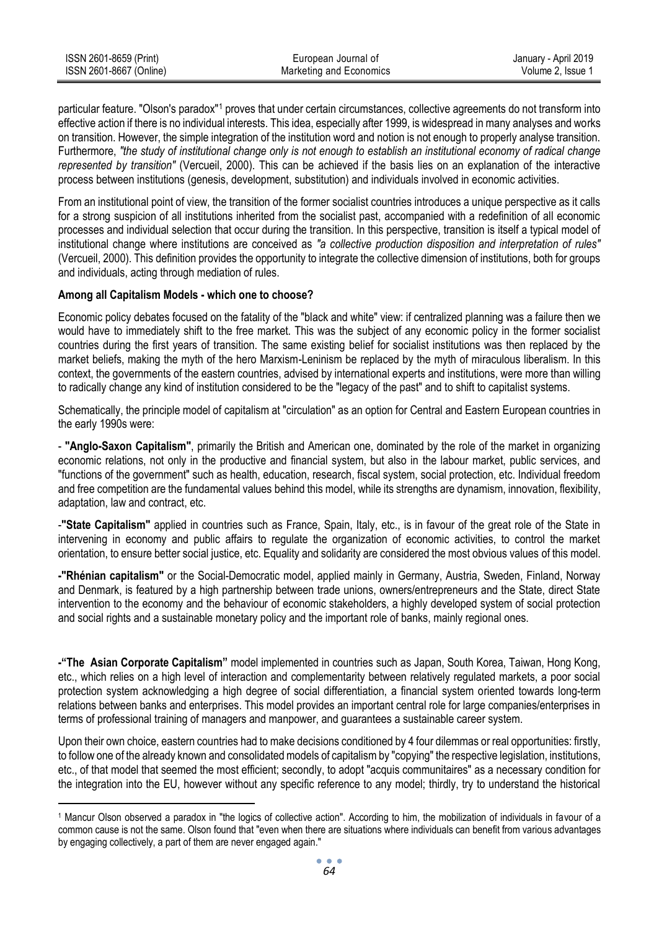| ISSN 2601-8659 (Print)  | European Journal of     | January - April 2019 |
|-------------------------|-------------------------|----------------------|
| ISSN 2601-8667 (Online) | Marketing and Economics | Volume 2. Issue 1    |

particular feature. "Olson's paradox"<sup>1</sup> proves that under certain circumstances, collective agreements do not transform into effective action if there is no individual interests. This idea, especially after 1999, is widespread in many analyses and works on transition. However, the simple integration of the institution word and notion is not enough to properly analyse transition. Furthermore, *"the study of institutional change only is not enough to establish an institutional economy of radical change represented by transition"* (Vercueil, 2000). This can be achieved if the basis lies on an explanation of the interactive process between institutions (genesis, development, substitution) and individuals involved in economic activities.

From an institutional point of view, the transition of the former socialist countries introduces a unique perspective as it calls for a strong suspicion of all institutions inherited from the socialist past, accompanied with a redefinition of all economic processes and individual selection that occur during the transition. In this perspective, transition is itself a typical model of institutional change where institutions are conceived as *"a collective production disposition and interpretation of rules"* (Vercueil, 2000). This definition provides the opportunity to integrate the collective dimension of institutions, both for groups and individuals, acting through mediation of rules.

## **Among all Capitalism Models - which one to choose?**

1

Economic policy debates focused on the fatality of the "black and white" view: if centralized planning was a failure then we would have to immediately shift to the free market. This was the subject of any economic policy in the former socialist countries during the first years of transition. The same existing belief for socialist institutions was then replaced by the market beliefs, making the myth of the hero Marxism-Leninism be replaced by the myth of miraculous liberalism. In this context, the governments of the eastern countries, advised by international experts and institutions, were more than willing to radically change any kind of institution considered to be the "legacy of the past" and to shift to capitalist systems.

Schematically, the principle model of capitalism at "circulation" as an option for Central and Eastern European countries in the early 1990s were:

- **"Anglo-Saxon Capitalism"**, primarily the British and American one, dominated by the role of the market in organizing economic relations, not only in the productive and financial system, but also in the labour market, public services, and "functions of the government" such as health, education, research, fiscal system, social protection, etc. Individual freedom and free competition are the fundamental values behind this model, while its strengths are dynamism, innovation, flexibility, adaptation, law and contract, etc.

-**"State Capitalism"** applied in countries such as France, Spain, Italy, etc., is in favour of the great role of the State in intervening in economy and public affairs to regulate the organization of economic activities, to control the market orientation, to ensure better social justice, etc. Equality and solidarity are considered the most obvious values of this model.

**-"Rhénian capitalism"** or the Social-Democratic model, applied mainly in Germany, Austria, Sweden, Finland, Norway and Denmark, is featured by a high partnership between trade unions, owners/entrepreneurs and the State, direct State intervention to the economy and the behaviour of economic stakeholders, a highly developed system of social protection and social rights and a sustainable monetary policy and the important role of banks, mainly regional ones.

**-"The Asian Corporate Capitalism"** model implemented in countries such as Japan, South Korea, Taiwan, Hong Kong, etc., which relies on a high level of interaction and complementarity between relatively regulated markets, a poor social protection system acknowledging a high degree of social differentiation, a financial system oriented towards long-term relations between banks and enterprises. This model provides an important central role for large companies/enterprises in terms of professional training of managers and manpower, and guarantees a sustainable career system.

Upon their own choice, eastern countries had to make decisions conditioned by 4 four dilemmas or real opportunities: firstly, to follow one of the already known and consolidated models of capitalism by "copying" the respective legislation, institutions, etc., of that model that seemed the most efficient; secondly, to adopt "acquis communitaires" as a necessary condition for the integration into the EU, however without any specific reference to any model; thirdly, try to understand the historical

<sup>1</sup> Mancur Olson observed a paradox in "the logics of collective action". According to him, the mobilization of individuals in favour of a common cause is not the same. Olson found that "even when there are situations where individuals can benefit from various advantages by engaging collectively, a part of them are never engaged again."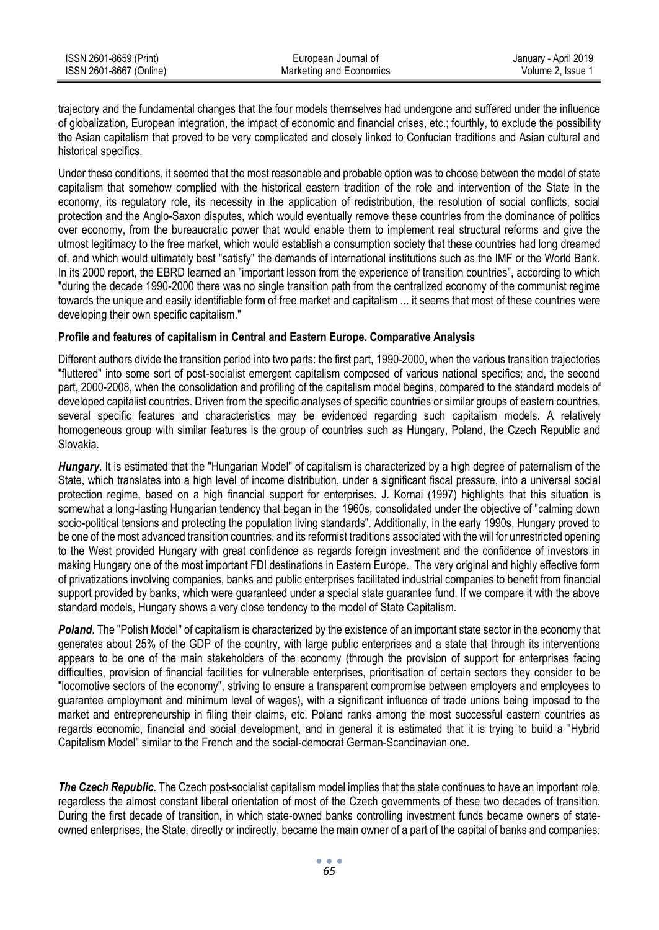| ISSN 2601-8659 (Print)  | European Journal of     | January - April 2019 |
|-------------------------|-------------------------|----------------------|
| ISSN 2601-8667 (Online) | Marketing and Economics | Volume 2. Issue 1    |

trajectory and the fundamental changes that the four models themselves had undergone and suffered under the influence of globalization, European integration, the impact of economic and financial crises, etc.; fourthly, to exclude the possibility the Asian capitalism that proved to be very complicated and closely linked to Confucian traditions and Asian cultural and historical specifics.

Under these conditions, it seemed that the most reasonable and probable option was to choose between the model of state capitalism that somehow complied with the historical eastern tradition of the role and intervention of the State in the economy, its regulatory role, its necessity in the application of redistribution, the resolution of social conflicts, social protection and the Anglo-Saxon disputes, which would eventually remove these countries from the dominance of politics over economy, from the bureaucratic power that would enable them to implement real structural reforms and give the utmost legitimacy to the free market, which would establish a consumption society that these countries had long dreamed of, and which would ultimately best "satisfy" the demands of international institutions such as the IMF or the World Bank. In its 2000 report, the EBRD learned an "important lesson from the experience of transition countries", according to which "during the decade 1990-2000 there was no single transition path from the centralized economy of the communist regime towards the unique and easily identifiable form of free market and capitalism ... it seems that most of these countries were developing their own specific capitalism."

## **Profile and features of capitalism in Central and Eastern Europe. Comparative Analysis**

Different authors divide the transition period into two parts: the first part, 1990-2000, when the various transition trajectories "fluttered" into some sort of post-socialist emergent capitalism composed of various national specifics; and, the second part, 2000-2008, when the consolidation and profiling of the capitalism model begins, compared to the standard models of developed capitalist countries. Driven from the specific analyses of specific countries or similar groups of eastern countries, several specific features and characteristics may be evidenced regarding such capitalism models. A relatively homogeneous group with similar features is the group of countries such as Hungary, Poland, the Czech Republic and Slovakia.

*Hungary*. It is estimated that the "Hungarian Model" of capitalism is characterized by a high degree of paternalism of the State, which translates into a high level of income distribution, under a significant fiscal pressure, into a universal social protection regime, based on a high financial support for enterprises. J. Kornai (1997) highlights that this situation is somewhat a long-lasting Hungarian tendency that began in the 1960s, consolidated under the objective of "calming down socio-political tensions and protecting the population living standards". Additionally, in the early 1990s, Hungary proved to be one of the most advanced transition countries, and its reformist traditions associated with the will for unrestricted opening to the West provided Hungary with great confidence as regards foreign investment and the confidence of investors in making Hungary one of the most important FDI destinations in Eastern Europe. The very original and highly effective form of privatizations involving companies, banks and public enterprises facilitated industrial companies to benefit from financial support provided by banks, which were quaranteed under a special state quarantee fund. If we compare it with the above standard models, Hungary shows a very close tendency to the model of State Capitalism.

*Poland*. The "Polish Model" of capitalism is characterized by the existence of an important state sector in the economy that generates about 25% of the GDP of the country, with large public enterprises and a state that through its interventions appears to be one of the main stakeholders of the economy (through the provision of support for enterprises facing difficulties, provision of financial facilities for vulnerable enterprises, prioritisation of certain sectors they consider to be "locomotive sectors of the economy", striving to ensure a transparent compromise between employers and employees to guarantee employment and minimum level of wages), with a significant influence of trade unions being imposed to the market and entrepreneurship in filing their claims, etc. Poland ranks among the most successful eastern countries as regards economic, financial and social development, and in general it is estimated that it is trying to build a "Hybrid Capitalism Model" similar to the French and the social-democrat German-Scandinavian one.

*The Czech Republic*. The Czech post-socialist capitalism model implies that the state continues to have an important role, regardless the almost constant liberal orientation of most of the Czech governments of these two decades of transition. During the first decade of transition, in which state-owned banks controlling investment funds became owners of stateowned enterprises, the State, directly or indirectly, became the main owner of a part of the capital of banks and companies.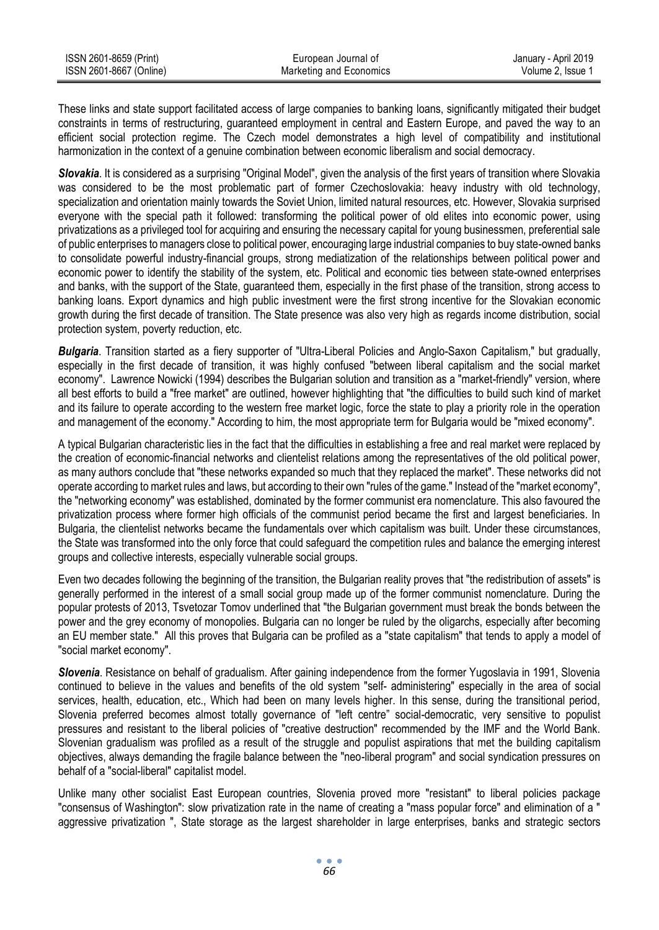| ISSN 2601-8659 (Print)  | European Journal of     | January - April 2019 |
|-------------------------|-------------------------|----------------------|
| ISSN 2601-8667 (Online) | Marketing and Economics | Volume 2. Issue 1    |

These links and state support facilitated access of large companies to banking loans, significantly mitigated their budget constraints in terms of restructuring, guaranteed employment in central and Eastern Europe, and paved the way to an efficient social protection regime. The Czech model demonstrates a high level of compatibility and institutional harmonization in the context of a genuine combination between economic liberalism and social democracy.

*Slovakia*. It is considered as a surprising "Original Model", given the analysis of the first years of transition where Slovakia was considered to be the most problematic part of former Czechoslovakia: heavy industry with old technology, specialization and orientation mainly towards the Soviet Union, limited natural resources, etc. However, Slovakia surprised everyone with the special path it followed: transforming the political power of old elites into economic power, using privatizations as a privileged tool for acquiring and ensuring the necessary capital for young businessmen, preferential sale of public enterprises to managers close to political power, encouraging large industrial companies to buy state-owned banks to consolidate powerful industry-financial groups, strong mediatization of the relationships between political power and economic power to identify the stability of the system, etc. Political and economic ties between state-owned enterprises and banks, with the support of the State, guaranteed them, especially in the first phase of the transition, strong access to banking loans. Export dynamics and high public investment were the first strong incentive for the Slovakian economic growth during the first decade of transition. The State presence was also very high as regards income distribution, social protection system, poverty reduction, etc.

*Bulgaria*. Transition started as a fiery supporter of "Ultra-Liberal Policies and Anglo-Saxon Capitalism," but gradually, especially in the first decade of transition, it was highly confused "between liberal capitalism and the social market economy". Lawrence Nowicki (1994) describes the Bulgarian solution and transition as a "market-friendly" version, where all best efforts to build a "free market" are outlined, however highlighting that "the difficulties to build such kind of market and its failure to operate according to the western free market logic, force the state to play a priority role in the operation and management of the economy." According to him, the most appropriate term for Bulgaria would be "mixed economy".

A typical Bulgarian characteristic lies in the fact that the difficulties in establishing a free and real market were replaced by the creation of economic-financial networks and clientelist relations among the representatives of the old political power, as many authors conclude that "these networks expanded so much that they replaced the market". These networks did not operate according to market rules and laws, but according to their own "rules of the game." Instead of the "market economy", the "networking economy" was established, dominated by the former communist era nomenclature. This also favoured the privatization process where former high officials of the communist period became the first and largest beneficiaries. In Bulgaria, the clientelist networks became the fundamentals over which capitalism was built. Under these circumstances, the State was transformed into the only force that could safeguard the competition rules and balance the emerging interest groups and collective interests, especially vulnerable social groups.

Even two decades following the beginning of the transition, the Bulgarian reality proves that "the redistribution of assets" is generally performed in the interest of a small social group made up of the former communist nomenclature. During the popular protests of 2013, Tsvetozar Tomov underlined that "the Bulgarian government must break the bonds between the power and the grey economy of monopolies. Bulgaria can no longer be ruled by the oligarchs, especially after becoming an EU member state." All this proves that Bulgaria can be profiled as a "state capitalism" that tends to apply a model of "social market economy".

*Slovenia*. Resistance on behalf of gradualism. After gaining independence from the former Yugoslavia in 1991, Slovenia continued to believe in the values and benefits of the old system "self- administering" especially in the area of social services, health, education, etc., Which had been on many levels higher. In this sense, during the transitional period, Slovenia preferred becomes almost totally governance of "left centre" social-democratic, very sensitive to populist pressures and resistant to the liberal policies of "creative destruction" recommended by the IMF and the World Bank. Slovenian gradualism was profiled as a result of the struggle and populist aspirations that met the building capitalism objectives, always demanding the fragile balance between the "neo-liberal program" and social syndication pressures on behalf of a "social-liberal" capitalist model.

Unlike many other socialist East European countries, Slovenia proved more "resistant" to liberal policies package "consensus of Washington": slow privatization rate in the name of creating a "mass popular force" and elimination of a " aggressive privatization ", State storage as the largest shareholder in large enterprises, banks and strategic sectors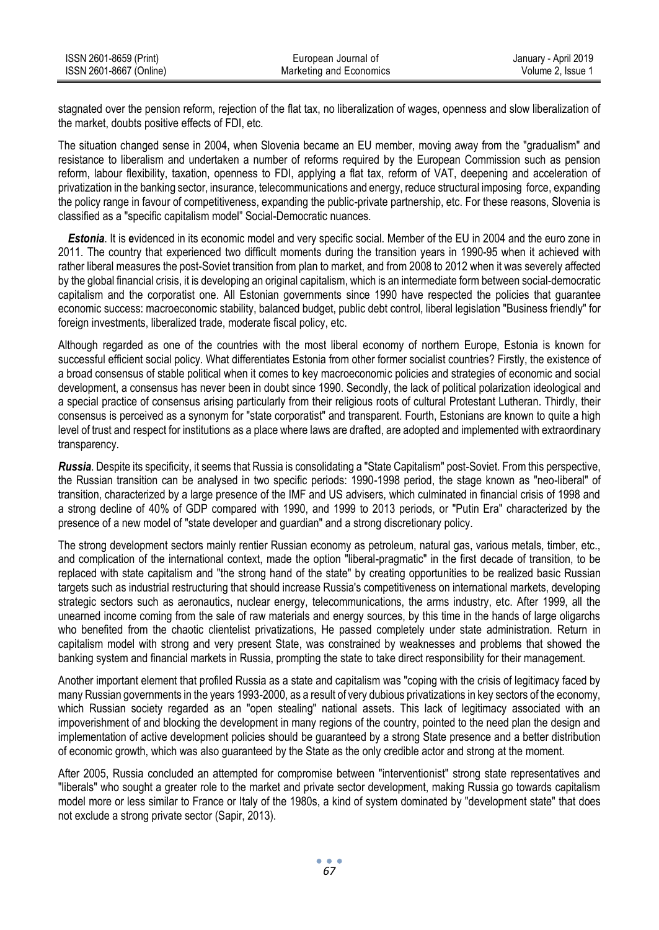| ISSN 2601-8659 (Print)  | European Journal of     | January - April 2019 |
|-------------------------|-------------------------|----------------------|
| ISSN 2601-8667 (Online) | Marketing and Economics | Volume 2. Issue 1    |

stagnated over the pension reform, rejection of the flat tax, no liberalization of wages, openness and slow liberalization of the market, doubts positive effects of FDI, etc.

The situation changed sense in 2004, when Slovenia became an EU member, moving away from the "gradualism" and resistance to liberalism and undertaken a number of reforms required by the European Commission such as pension reform, labour flexibility, taxation, openness to FDI, applying a flat tax, reform of VAT, deepening and acceleration of privatization in the banking sector, insurance, telecommunications and energy, reduce structural imposing force, expanding the policy range in favour of competitiveness, expanding the public-private partnership, etc. For these reasons, Slovenia is classified as a "specific capitalism model" Social-Democratic nuances.

*Estonia*. It is **e**videnced in its economic model and very specific social. Member of the EU in 2004 and the euro zone in 2011. The country that experienced two difficult moments during the transition years in 1990-95 when it achieved with rather liberal measures the post-Soviet transition from plan to market, and from 2008 to 2012 when it was severely affected by the global financial crisis, it is developing an original capitalism, which is an intermediate form between social-democratic capitalism and the corporatist one. All Estonian governments since 1990 have respected the policies that guarantee economic success: macroeconomic stability, balanced budget, public debt control, liberal legislation "Business friendly" for foreign investments, liberalized trade, moderate fiscal policy, etc.

Although regarded as one of the countries with the most liberal economy of northern Europe, Estonia is known for successful efficient social policy. What differentiates Estonia from other former socialist countries? Firstly, the existence of a broad consensus of stable political when it comes to key macroeconomic policies and strategies of economic and social development, a consensus has never been in doubt since 1990. Secondly, the lack of political polarization ideological and a special practice of consensus arising particularly from their religious roots of cultural Protestant Lutheran. Thirdly, their consensus is perceived as a synonym for "state corporatist" and transparent. Fourth, Estonians are known to quite a high level of trust and respect for institutions as a place where laws are drafted, are adopted and implemented with extraordinary transparency.

*Russia*. Despite its specificity, it seems that Russia is consolidating a "State Capitalism" post-Soviet. From this perspective, the Russian transition can be analysed in two specific periods: 1990-1998 period, the stage known as "neo-liberal" of transition, characterized by a large presence of the IMF and US advisers, which culminated in financial crisis of 1998 and a strong decline of 40% of GDP compared with 1990, and 1999 to 2013 periods, or "Putin Era" characterized by the presence of a new model of "state developer and guardian" and a strong discretionary policy.

The strong development sectors mainly rentier Russian economy as petroleum, natural gas, various metals, timber, etc., and complication of the international context, made the option "liberal-pragmatic" in the first decade of transition, to be replaced with state capitalism and "the strong hand of the state" by creating opportunities to be realized basic Russian targets such as industrial restructuring that should increase Russia's competitiveness on international markets, developing strategic sectors such as aeronautics, nuclear energy, telecommunications, the arms industry, etc. After 1999, all the unearned income coming from the sale of raw materials and energy sources, by this time in the hands of large oligarchs who benefited from the chaotic clientelist privatizations. He passed completely under state administration. Return in capitalism model with strong and very present State, was constrained by weaknesses and problems that showed the banking system and financial markets in Russia, prompting the state to take direct responsibility for their management.

Another important element that profiled Russia as a state and capitalism was "coping with the crisis of legitimacy faced by many Russian governments in the years 1993-2000, as a result of very dubious privatizations in key sectors of the economy, which Russian society regarded as an "open stealing" national assets. This lack of legitimacy associated with an impoverishment of and blocking the development in many regions of the country, pointed to the need plan the design and implementation of active development policies should be guaranteed by a strong State presence and a better distribution of economic growth, which was also guaranteed by the State as the only credible actor and strong at the moment.

After 2005, Russia concluded an attempted for compromise between "interventionist" strong state representatives and "liberals" who sought a greater role to the market and private sector development, making Russia go towards capitalism model more or less similar to France or Italy of the 1980s, a kind of system dominated by "development state" that does not exclude a strong private sector (Sapir, 2013).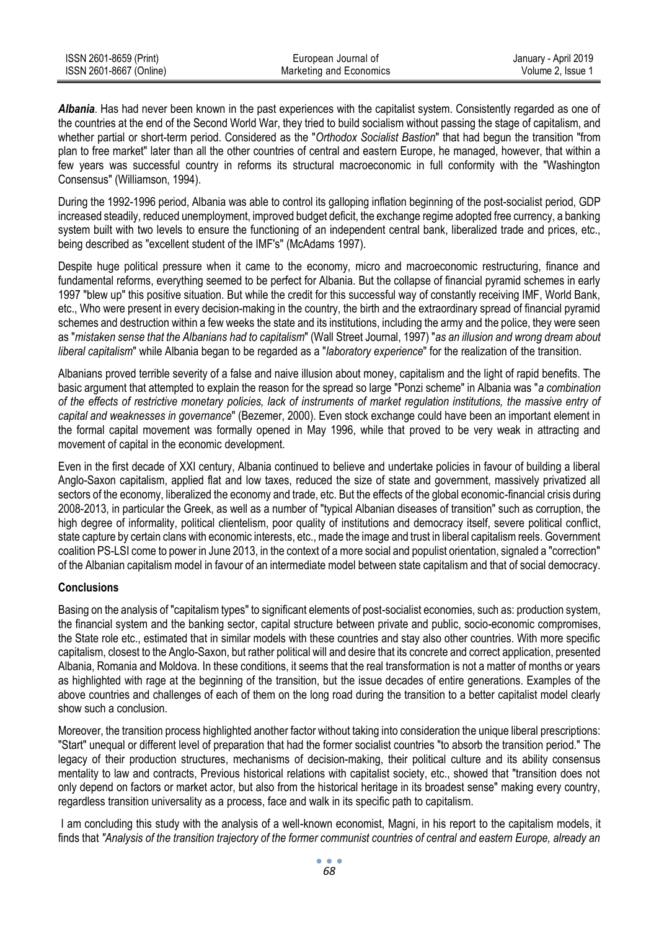| ISSN 2601-8659 (Print)  | European Journal of     | January - April 2019 |
|-------------------------|-------------------------|----------------------|
| ISSN 2601-8667 (Online) | Marketing and Economics | Volume 2. Issue 1    |

*Albania*. Has had never been known in the past experiences with the capitalist system. Consistently regarded as one of the countries at the end of the Second World War, they tried to build socialism without passing the stage of capitalism, and whether partial or short-term period. Considered as the "*Orthodox Socialist Bastion*" that had begun the transition "from plan to free market" later than all the other countries of central and eastern Europe, he managed, however, that within a few years was successful country in reforms its structural macroeconomic in full conformity with the "Washington Consensus" (Williamson, 1994).

During the 1992-1996 period, Albania was able to control its galloping inflation beginning of the post-socialist period, GDP increased steadily, reduced unemployment, improved budget deficit, the exchange regime adopted free currency, a banking system built with two levels to ensure the functioning of an independent central bank, liberalized trade and prices, etc., being described as "excellent student of the IMF's" (McAdams 1997).

Despite huge political pressure when it came to the economy, micro and macroeconomic restructuring, finance and fundamental reforms, everything seemed to be perfect for Albania. But the collapse of financial pyramid schemes in early 1997 "blew up" this positive situation. But while the credit for this successful way of constantly receiving IMF, World Bank, etc., Who were present in every decision-making in the country, the birth and the extraordinary spread of financial pyramid schemes and destruction within a few weeks the state and its institutions, including the army and the police, they were seen as "*mistaken sense that the Albanians had to capitalism*" (Wall Street Journal, 1997) "*as an illusion and wrong dream about liberal capitalism*" while Albania began to be regarded as a "*laboratory experience*" for the realization of the transition.

Albanians proved terrible severity of a false and naive illusion about money, capitalism and the light of rapid benefits. The basic argument that attempted to explain the reason for the spread so large "Ponzi scheme" in Albania was "*a combination of the effects of restrictive monetary policies, lack of instruments of market regulation institutions, the massive entry of capital and weaknesses in governance*" (Bezemer, 2000). Even stock exchange could have been an important element in the formal capital movement was formally opened in May 1996, while that proved to be very weak in attracting and movement of capital in the economic development.

Even in the first decade of XXI century, Albania continued to believe and undertake policies in favour of building a liberal Anglo-Saxon capitalism, applied flat and low taxes, reduced the size of state and government, massively privatized all sectors of the economy, liberalized the economy and trade, etc. But the effects of the global economic-financial crisis during 2008-2013, in particular the Greek, as well as a number of "typical Albanian diseases of transition" such as corruption, the high degree of informality, political clientelism, poor quality of institutions and democracy itself, severe political conflict, state capture by certain clans with economic interests, etc., made the image and trust in liberal capitalism reels. Government coalition PS-LSI come to power in June 2013, in the context of a more social and populist orientation, signaled a "correction" of the Albanian capitalism model in favour of an intermediate model between state capitalism and that of social democracy.

# **Conclusions**

Basing on the analysis of "capitalism types" to significant elements of post-socialist economies, such as: production system, the financial system and the banking sector, capital structure between private and public, socio-economic compromises, the State role etc., estimated that in similar models with these countries and stay also other countries. With more specific capitalism, closest to the Anglo-Saxon, but rather political will and desire that its concrete and correct application, presented Albania, Romania and Moldova. In these conditions, it seems that the real transformation is not a matter of months or years as highlighted with rage at the beginning of the transition, but the issue decades of entire generations. Examples of the above countries and challenges of each of them on the long road during the transition to a better capitalist model clearly show such a conclusion.

Moreover, the transition process highlighted another factor without taking into consideration the unique liberal prescriptions: "Start" unequal or different level of preparation that had the former socialist countries "to absorb the transition period." The legacy of their production structures, mechanisms of decision-making, their political culture and its ability consensus mentality to law and contracts, Previous historical relations with capitalist society, etc., showed that "transition does not only depend on factors or market actor, but also from the historical heritage in its broadest sense" making every country, regardless transition universality as a process, face and walk in its specific path to capitalism.

I am concluding this study with the analysis of a well-known economist, Magni, in his report to the capitalism models, it finds that *"Analysis of the transition trajectory of the former communist countries of central and eastern Europe, already an*